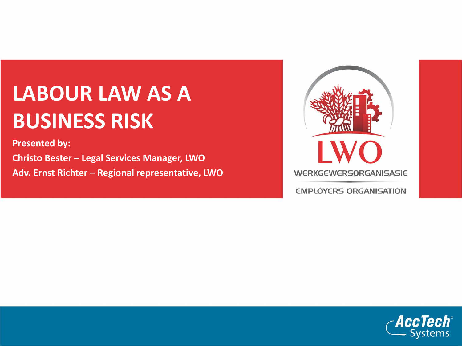## **LABOUR LAW AS A BUSINESS RISK**

**Presented by: Christo Bester – Legal Services Manager, LWO Adv. Ernst Richter – Regional representative, LWO**



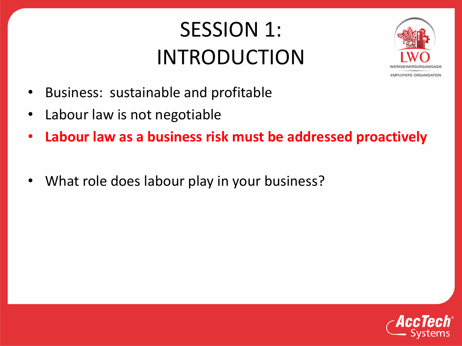### SESSION 1: INTRODUCTION



- Business: sustainable and profitable
- Labour law is not negotiable
- **Labour law as a business risk must be addressed proactively**
- What role does labour play in your business?

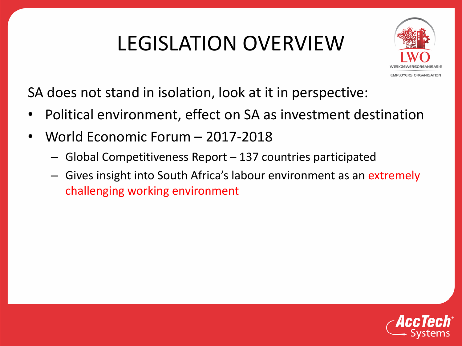## LEGISLATION OVERVIEW



SA does not stand in isolation, look at it in perspective:

- Political environment, effect on SA as investment destination
- World Economic Forum 2017-2018
	- Global Competitiveness Report 137 countries participated
	- Gives insight into South Africa's labour environment as an extremely challenging working environment

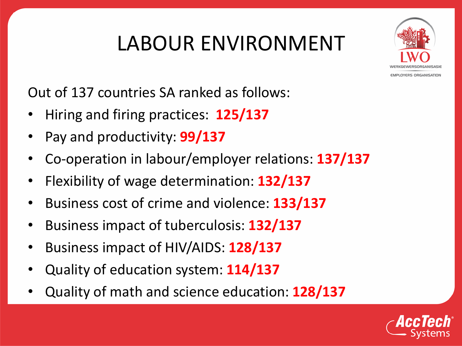## LABOUR ENVIRONMENT



Out of 137 countries SA ranked as follows:

- Hiring and firing practices: **125/137**
- Pay and productivity: **99/137**
- Co-operation in labour/employer relations: **137/137**
- Flexibility of wage determination: **132/137**
- Business cost of crime and violence: **133/137**
- Business impact of tuberculosis: **132/137**
- Business impact of HIV/AIDS: **128/137**
- Quality of education system: **114/137**
- Quality of math and science education: **128/137**

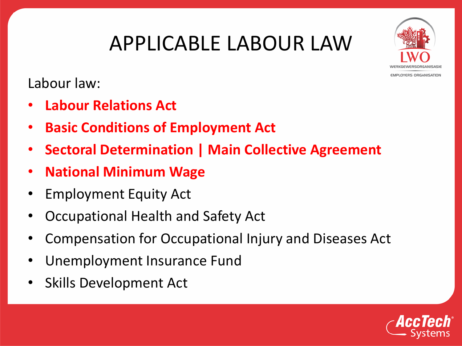#### APPLICABLE LABOUR LAW



Labour law:

- **Labour Relations Act**
- **Basic Conditions of Employment Act**
- **Sectoral Determination | Main Collective Agreement**
- **National Minimum Wage**
- Employment Equity Act
- Occupational Health and Safety Act
- Compensation for Occupational Injury and Diseases Act
- Unemployment Insurance Fund
- Skills Development Act

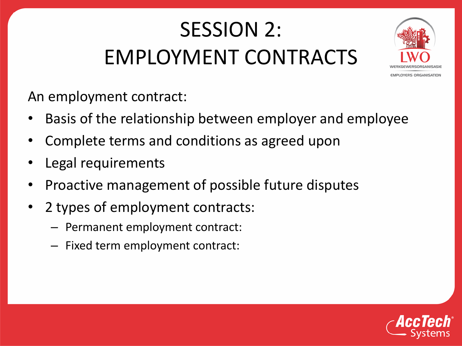## SESSION 2: EMPLOYMENT CONTRACTS



An employment contract:

- Basis of the relationship between employer and employee
- Complete terms and conditions as agreed upon
- Legal requirements
- Proactive management of possible future disputes
- 2 types of employment contracts:
	- Permanent employment contract:
	- Fixed term employment contract:

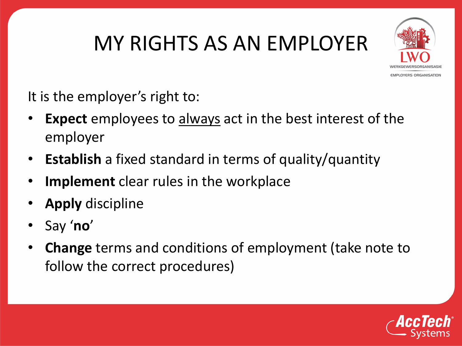## MY RIGHTS AS AN EMPLOYER



It is the employer's right to:

- **Expect** employees to always act in the best interest of the employer
- **Establish** a fixed standard in terms of quality/quantity
- **Implement** clear rules in the workplace
- **Apply** discipline
- Say '**no**'
- **Change** terms and conditions of employment (take note to follow the correct procedures)

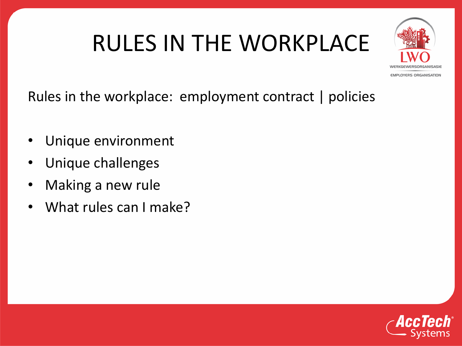# RULES IN THE WORKPLACE



Rules in the workplace: employment contract | policies

- Unique environment
- Unique challenges
- Making a new rule
- What rules can I make?